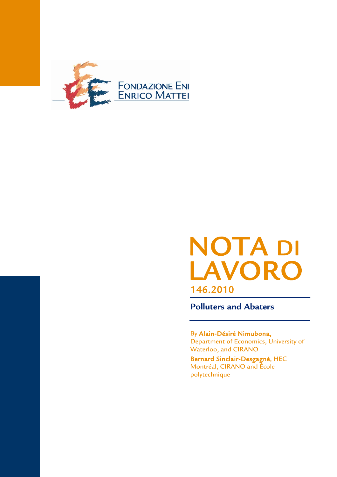

# NOTA DI LAVORO 146.2010

**Polluters and Abaters**

By Alain-Désiré Nimubona, Department of Economics, University of Waterloo, and CIRANO

Bernard Sinclair-Desgagné, HEC Montréal, CIRANO and École polytechnique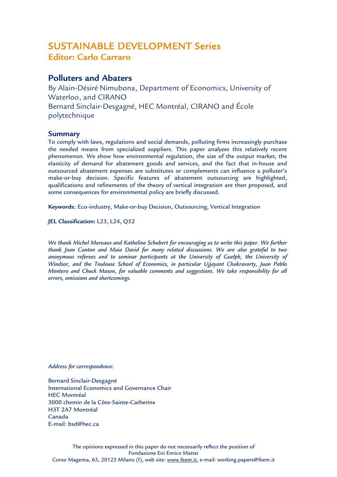# SUSTAINABLE DEVELOPMENT Series **Editor: Carlo Carraro**

## **Polluters and Abaters**

By Alain-Désiré Nimubona, Department of Economics, University of Waterloo, and CIRANO Bernard Sinclair-Desgagné, HEC Montréal, CIRANO and École polytechnique

## **Summary**

To comply with laws, regulations and social demands, polluting firms increasingly purchase the needed means from specialized suppliers. This paper analyzes this relatively recent phenomenon. We show how environmental regulation, the size of the output market, the elasticity of demand for abatement goods and services, and the fact that in-house and outsourced abatement expenses are substitutes or complements can influence a polluter's make-or-buy decision. Specific features of abatement outsourcing are highlighted, qualifications and refinements of the theory of vertical integration are then proposed, and some consequences for environmental policy are briefly discussed.

**Keywords**: Eco-industry, Make-or-buy Decision, Outsourcing, Vertical Integration

**JEL Classification:** L23, L24, Q52

*We thank Michel Moreaux and Katheline Schubert for encouraging us to write this paper. We further thank Joan Canton and Maia David for many related discussions. We are also grateful to two anonymous referees and to seminar participants at the University of Guelph, the University of Windsor, and the Toulouse School of Economics, in particular Ujjayant Chakravorty, Juan Pablo Montero and Chuck Mason, for valuable comments and suggestions. We take responsibility for all errors, omissions and shortcomings.* 

*Address for correspondence:* 

Bernard Sinclair-Desgagné International Economics and Governance Chair HEC Montréal 3000 chemin de la Côte-Sainte-Catherine H3T 2A7 Montréal Canada E-mail: bsd@hec.ca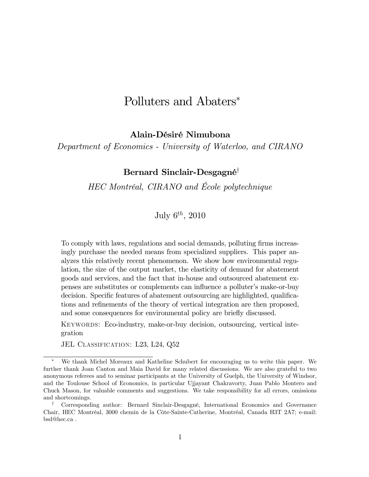# Polluters and Abaters<sup>∗</sup>

### Alain-Désiré Nimubona

Department of Economics - University of Waterloo, and CIRANO

## Bernard Sinclair-Desgagné†

HEC Montréal, CIRANO and École polytechnique

July  $6^{th}$ , 2010

To comply with laws, regulations and social demands, polluting firms increasingly purchase the needed means from specialized suppliers. This paper analyzes this relatively recent phenomenon. We show how environmental regulation, the size of the output market, the elasticity of demand for abatement goods and services, and the fact that in-house and outsourced abatement expenses are substitutes or complements can influence a polluter's make-or-buy decision. Specific features of abatement outsourcing are highlighted, qualifications and refinements of the theory of vertical integration are then proposed, and some consequences for environmental policy are briefly discussed.

KEYWORDS: Eco-industry, make-or-buy decision, outsourcing, vertical integration

JEL CLASSIFICATION: L23, L24, Q52

We thank Michel Moreaux and Katheline Schubert for encouraging us to write this paper. We further thank Joan Canton and Maia David for many related discussions. We are also grateful to two anonymous referees and to seminar participants at the University of Guelph, the University of Windsor, and the Toulouse School of Economics, in particular Ujjayant Chakravorty, Juan Pablo Montero and Chuck Mason, for valuable comments and suggestions. We take responsibility for all errors, omissions and shortcomings.

<sup>†</sup> Corresponding author: Bernard Sinclair-Desgagné, International Economics and Governance Chair, HEC Montréal, 3000 chemin de la Côte-Sainte-Catherine, Montréal, Canada H3T 2A7; e-mail: bsd@hec.ca .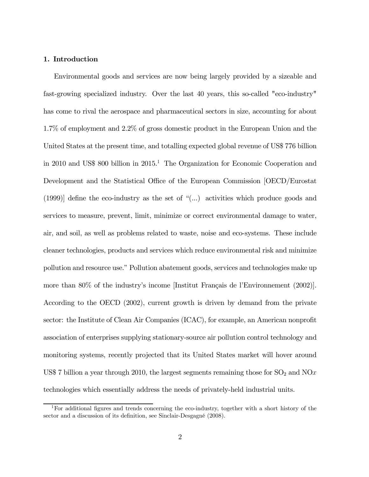#### 1. Introduction

Environmental goods and services are now being largely provided by a sizeable and fast-growing specialized industry. Over the last 40 years, this so-called "eco-industry" has come to rival the aerospace and pharmaceutical sectors in size, accounting for about 1.7% of employment and 2.2% of gross domestic product in the European Union and the United States at the present time, and totalling expected global revenue of US\$ 776 billion in 2010 and US\$ 800 billion in 2015.<sup>1</sup> The Organization for Economic Cooperation and Development and the Statistical Office of the European Commission [OECD/Eurostat (1999)] define the eco-industry as the set of "(...) activities which produce goods and services to measure, prevent, limit, minimize or correct environmental damage to water, air, and soil, as well as problems related to waste, noise and eco-systems. These include cleaner technologies, products and services which reduce environmental risk and minimize pollution and resource use." Pollution abatement goods, services and technologies make up more than 80% of the industry's income [Institut Français de l'Environnement (2002)]. According to the OECD (2002), current growth is driven by demand from the private sector: the Institute of Clean Air Companies (ICAC), for example, an American nonprofit association of enterprises supplying stationary-source air pollution control technology and monitoring systems, recently projected that its United States market will hover around US\$ 7 billion a year through 2010, the largest segments remaining those for  $\text{SO}_2$  and  $\text{NO}x$ technologies which essentially address the needs of privately-held industrial units.

<sup>1</sup>For additional figures and trends concerning the eco-industry, together with a short history of the sector and a discussion of its definition, see Sinclair-Desgagné (2008).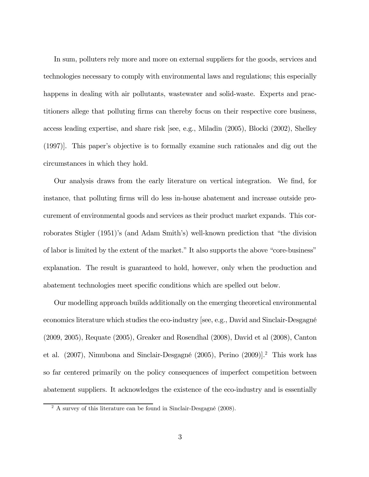In sum, polluters rely more and more on external suppliers for the goods, services and technologies necessary to comply with environmental laws and regulations; this especially happens in dealing with air pollutants, wastewater and solid-waste. Experts and practitioners allege that polluting firms can thereby focus on their respective core business, access leading expertise, and share risk [see, e.g., Miladin (2005), Blocki (2002), Shelley (1997)]. This paper's objective is to formally examine such rationales and dig out the circumstances in which they hold.

Our analysis draws from the early literature on vertical integration. We find, for instance, that polluting firms will do less in-house abatement and increase outside procurement of environmental goods and services as their product market expands. This corroborates Stigler (1951)'s (and Adam Smith's) well-known prediction that "the division of labor is limited by the extent of the market." It also supports the above "core-business" explanation. The result is guaranteed to hold, however, only when the production and abatement technologies meet specific conditions which are spelled out below.

Our modelling approach builds additionally on the emerging theoretical environmental economics literature which studies the eco-industry [see, e.g., David and Sinclair-Desgagné (2009, 2005), Requate (2005), Greaker and Rosendhal (2008), David et al (2008), Canton et al. (2007), Nimubona and Sinclair-Desgagné (2005), Perino (2009)].2 This work has so far centered primarily on the policy consequences of imperfect competition between abatement suppliers. It acknowledges the existence of the eco-industry and is essentially

<sup>&</sup>lt;sup>2</sup> A survey of this literature can be found in Sinclair-Desgagné (2008).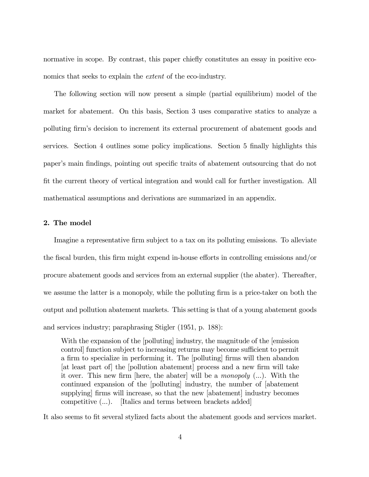normative in scope. By contrast, this paper chiefly constitutes an essay in positive economics that seeks to explain the extent of the eco-industry.

The following section will now present a simple (partial equilibrium) model of the market for abatement. On this basis, Section 3 uses comparative statics to analyze a polluting firm's decision to increment its external procurement of abatement goods and services. Section 4 outlines some policy implications. Section 5 finally highlights this paper's main findings, pointing out specific traits of abatement outsourcing that do not fit the current theory of vertical integration and would call for further investigation. All mathematical assumptions and derivations are summarized in an appendix.

#### 2. The model

Imagine a representative firm subject to a tax on its polluting emissions. To alleviate the fiscal burden, this firm might expend in-house efforts in controlling emissions and/or procure abatement goods and services from an external supplier (the abater). Thereafter, we assume the latter is a monopoly, while the polluting firm is a price-taker on both the output and pollution abatement markets. This setting is that of a young abatement goods and services industry; paraphrasing Stigler (1951, p. 188):

With the expansion of the [polluting] industry, the magnitude of the [emission control] function subject to increasing returns may become sufficient to permit a firm to specialize in performing it. The [polluting] firms will then abandon [at least part of] the [pollution abatement] process and a new firm will take it over. This new firm [here, the abater] will be a monopoly (...). With the continued expansion of the [polluting] industry, the number of [abatement supplying] firms will increase, so that the new [abatement] industry becomes competitive (...). [Italics and terms between brackets added]

It also seems to fit several stylized facts about the abatement goods and services market.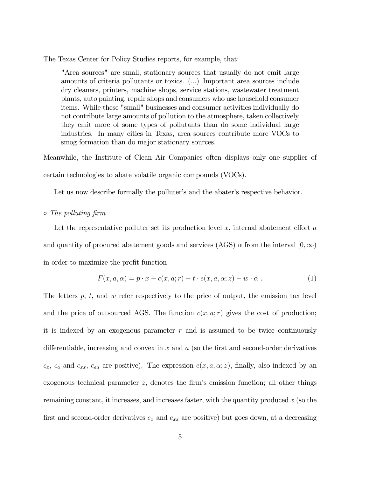The Texas Center for Policy Studies reports, for example, that:

"Area sources" are small, stationary sources that usually do not emit large amounts of criteria pollutants or toxics. (...) Important area sources include dry cleaners, printers, machine shops, service stations, wastewater treatment plants, auto painting, repair shops and consumers who use household consumer items. While these "small" businesses and consumer activities individually do not contribute large amounts of pollution to the atmosphere, taken collectively they emit more of some types of pollutants than do some individual large industries. In many cities in Texas, area sources contribute more VOCs to smog formation than do major stationary sources.

Meanwhile, the Institute of Clean Air Companies often displays only one supplier of certain technologies to abate volatile organic compounds (VOCs).

Let us now describe formally the polluter's and the abater's respective behavior.

#### ◦ The polluting firm

Let the representative polluter set its production level  $x$ , internal abatement effort  $a$ and quantity of procured abatement goods and services (AGS)  $\alpha$  from the interval  $[0,\infty)$ in order to maximize the profit function

$$
F(x, a, \alpha) = p \cdot x - c(x, a; r) - t \cdot e(x, a, \alpha; z) - w \cdot \alpha . \tag{1}
$$

The letters  $p, t$ , and  $w$  refer respectively to the price of output, the emission tax level and the price of outsourced AGS. The function  $c(x, a; r)$  gives the cost of production; it is indexed by an exogenous parameter  $r$  and is assumed to be twice continuously differentiable, increasing and convex in  $x$  and  $a$  (so the first and second-order derivatives  $c_x$ ,  $c_a$  and  $c_{xx}$ ,  $c_{aa}$  are positive). The expression  $e(x, a, \alpha; z)$ , finally, also indexed by an exogenous technical parameter  $z$ , denotes the firm's emission function; all other things remaining constant, it increases, and increases faster, with the quantity produced  $x$  (so the first and second-order derivatives  $e_x$  and  $e_{xx}$  are positive) but goes down, at a decreasing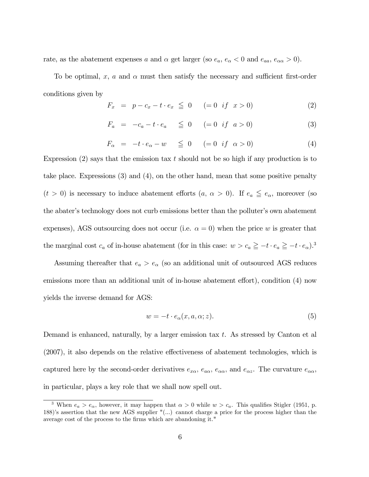rate, as the abatement expenses a and  $\alpha$  get larger (so  $e_a$ ,  $e_\alpha < 0$  and  $e_{aa}$ ,  $e_{\alpha \alpha} > 0$ ).

To be optimal,  $x$ ,  $a$  and  $\alpha$  must then satisfy the necessary and sufficient first-order conditions given by

$$
F_x = p - c_x - t \cdot e_x \leq 0 \quad (= 0 \text{ if } x > 0)
$$
 (2)

$$
F_a = -c_a - t \cdot e_a \leq 0 \quad (= 0 \text{ if } a > 0)
$$
 (3)

$$
F_{\alpha} = -t \cdot e_{\alpha} - w \leq 0 \quad (= 0 \text{ if } \alpha > 0)
$$
 (4)

Expression  $(2)$  says that the emission tax t should not be so high if any production is to take place. Expressions (3) and (4), on the other hand, mean that some positive penalty  $(t > 0)$  is necessary to induce abatement efforts  $(a, \alpha > 0)$ . If  $e_a \leq e_{\alpha}$ , moreover (so the abater's technology does not curb emissions better than the polluter's own abatement expenses), AGS outsourcing does not occur (i.e.  $\alpha = 0$ ) when the price w is greater that the marginal cost  $c_a$  of in-house abatement (for in this case:  $w > c_a \ge -t \cdot e_a \ge -t \cdot e_\alpha$ ).<sup>3</sup>

Assuming thereafter that  $e_a > e_\alpha$  (so an additional unit of outsourced AGS reduces emissions more than an additional unit of in-house abatement effort), condition (4) now yields the inverse demand for AGS:

$$
w = -t \cdot e_{\alpha}(x, a, \alpha; z). \tag{5}
$$

Demand is enhanced, naturally, by a larger emission tax  $t$ . As stressed by Canton et al (2007), it also depends on the relative effectiveness of abatement technologies, which is captured here by the second-order derivatives  $e_{x\alpha}$ ,  $e_{\alpha\alpha}$ ,  $e_{\alpha\alpha}$ , and  $e_{\alpha z}$ . The curvature  $e_{\alpha\alpha}$ , in particular, plays a key role that we shall now spell out.

<sup>&</sup>lt;sup>3</sup> When  $e_a > e_\alpha$ , however, it may happen that  $\alpha > 0$  while  $w > c_a$ . This qualifies Stigler (1951, p. 188)'s assertion that the new AGS supplier "(...) cannot charge a price for the process higher than the average cost of the process to the firms which are abandoning it."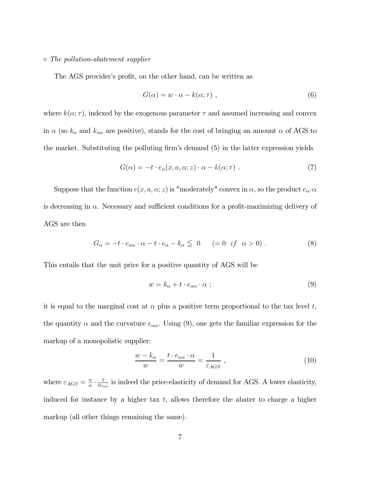#### ◦ The pollution-abatement supplier

The AGS provider's profit, on the other hand, can be written as

$$
G(\alpha) = w \cdot \alpha - k(\alpha; \tau) \tag{6}
$$

where  $k(\alpha; \tau)$ , indexed by the exogenous parameter  $\tau$  and assumed increasing and convex in  $\alpha$  (so  $k_{\alpha}$  and  $k_{\alpha\alpha}$  are positive), stands for the cost of bringing an amount  $\alpha$  of AGS to the market. Substituting the polluting firm's demand (5) in the latter expression yields

$$
G(\alpha) = -t \cdot e_{\alpha}(x, a, \alpha; z) \cdot \alpha - k(\alpha; \tau) \tag{7}
$$

Suppose that the function  $e(x, a, \alpha; z)$  is "moderately" convex in  $\alpha$ , so the product  $e_{\alpha} \cdot \alpha$ is decreasing in  $\alpha$ . Necessary and sufficient conditions for a profit-maximizing delivery of AGS are then

$$
G_{\alpha} = -t \cdot e_{\alpha \alpha} \cdot \alpha - t \cdot e_{\alpha} - k_{\alpha} \leq 0 \qquad (= 0 \quad if \quad \alpha > 0) \; . \tag{8}
$$

This entails that the unit price for a positive quantity of AGS will be

$$
w = k_{\alpha} + t \cdot e_{\alpha \alpha} \cdot \alpha \tag{9}
$$

it is equal to the marginal cost at  $\alpha$  plus a positive term proportional to the tax level t, the quantity  $\alpha$  and the curvature  $e_{\alpha\alpha}$ . Using (9), one gets the familiar expression for the markup of a monopolistic supplier:

$$
\frac{w - k_{\alpha}}{w} = \frac{t \cdot e_{\alpha \alpha} \cdot \alpha}{w} = \frac{1}{\varepsilon_{AGS}} , \qquad (10)
$$

where  $\varepsilon_{AGS} = \frac{w}{\alpha} \cdot \frac{1}{te_{\alpha\alpha}}$  is indeed the price-elasticity of demand for AGS. A lower elasticity, induced for instance by a higher tax  $t$ , allows therefore the abater to charge a higher markup (all other things remaining the same).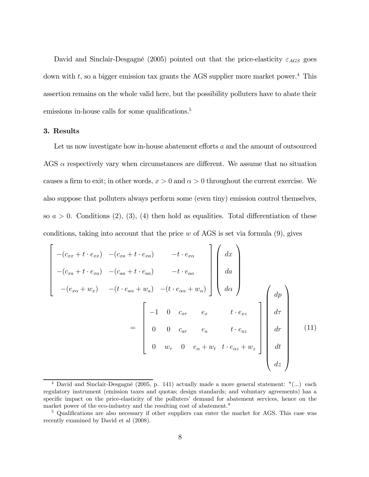David and Sinclair-Desgagné (2005) pointed out that the price-elasticity  $\varepsilon_{AGS}$  goes down with  $t$ , so a bigger emission tax grants the AGS supplier more market power.<sup>4</sup> This assertion remains on the whole valid here, but the possibility polluters have to abate their emissions in-house calls for some qualifications.<sup>5</sup>

#### 3. Results

Let us now investigate how in-house abatement efforts a and the amount of outsourced AGS  $\alpha$  respectively vary when circumstances are different. We assume that no situation causes a firm to exit; in other words,  $x > 0$  and  $\alpha > 0$  throughout the current exercise. We also suppose that polluters always perform some (even tiny) emission control themselves, so  $a > 0$ . Conditions (2), (3), (4) then hold as equalities. Total differentiation of these conditions, taking into account that the price  $w$  of AGS is set via formula  $(9)$ , gives

$$
\begin{bmatrix}\n-(c_{xx}+t \cdot e_{xx}) & -(c_{xa}+t \cdot e_{xa}) & -t \cdot e_{xa} \\
-(c_{xa}+t \cdot e_{xa}) & -(c_{aa}+t \cdot e_{aa}) & -t \cdot e_{a\alpha} \\
-(e_{x\alpha}+w_x) & -(t \cdot e_{a\alpha}+w_a) & -(t \cdot e_{\alpha\alpha}+w_\alpha)\n\end{bmatrix}\n\begin{bmatrix}\ndx \\
da \\
da \\
d\alpha\n\end{bmatrix}_{\n\alpha}
$$
\n
$$
=\n\begin{bmatrix}\n-1 & 0 & c_{xr} & e_x & t \cdot e_{xz} \\
0 & 0 & c_{ar} & e_a & t \cdot e_{az} \\
0 & w_\tau & 0 & e_\alpha + w_t & t \cdot e_{\alpha z} + w_z\n\end{bmatrix}\n\begin{bmatrix}\ndp \\
d\tau \\
dr \\
dt \\
dt \\
dz\n\end{bmatrix}
$$
\n(11)

<sup>4</sup> David and Sinclair-Desgagné (2005, p. 141) actually made a more general statement: "(...) each regulatory instrument (emission taxes and quotas; design standards; and voluntary agreements) has a specific impact on the price-elasticity of the polluters' demand for abatement services, hence on the market power of the eco-industry and the resulting cost of abatement."

<sup>&</sup>lt;sup>5</sup> Qualifications are also necessary if other suppliers can enter the market for AGS. This case was recently examined by David et al (2008).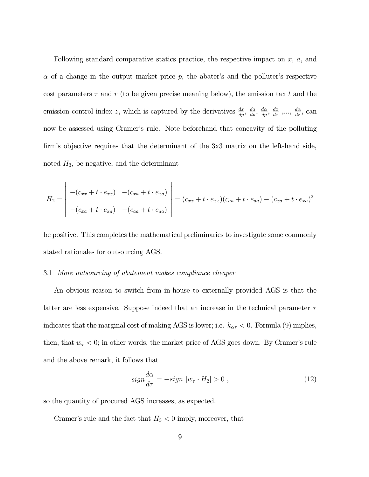Following standard comparative statics practice, the respective impact on  $x$ ,  $a$ , and  $\alpha$  of a change in the output market price p, the abater's and the polluter's respective cost parameters  $\tau$  and  $r$  (to be given precise meaning below), the emission tax t and the emission control index z, which is captured by the derivatives  $\frac{dx}{dp}$ ,  $\frac{da}{dp}$ ,  $\frac{da}{dp}$ ,  $\frac{dx}{dp}$ ,  $\frac{dx}{d\tau}$ , ...,  $\frac{d\alpha}{dz}$ , can now be assessed using Cramer's rule. Note beforehand that concavity of the polluting firm's objective requires that the determinant of the 3x3 matrix on the left-hand side, noted  $H_3$ , be negative, and the determinant

$$
H_2 = \begin{vmatrix} -(c_{xx} + t \cdot e_{xx}) & -(c_{xa} + t \cdot e_{xa}) \\ -(c_{xa} + t \cdot e_{xa}) & -(c_{aa} + t \cdot e_{aa}) \end{vmatrix} = (c_{xx} + t \cdot e_{xx})(c_{aa} + t \cdot e_{aa}) - (c_{xa} + t \cdot e_{xa})^2
$$

be positive. This completes the mathematical preliminaries to investigate some commonly stated rationales for outsourcing AGS.

#### 3.1 More outsourcing of abatement makes compliance cheaper

An obvious reason to switch from in-house to externally provided AGS is that the latter are less expensive. Suppose indeed that an increase in the technical parameter  $\tau$ indicates that the marginal cost of making AGS is lower; i.e.  $k_{\alpha\tau} < 0$ . Formula (9) implies, then, that  $w_{\tau} < 0$ ; in other words, the market price of AGS goes down. By Cramer's rule and the above remark, it follows that

$$
sign\frac{d\alpha}{d\tau} = -sign\ [w_\tau \cdot H_2] > 0 , \qquad (12)
$$

so the quantity of procured AGS increases, as expected.

Cramer's rule and the fact that  $H_3 < 0$  imply, moreover, that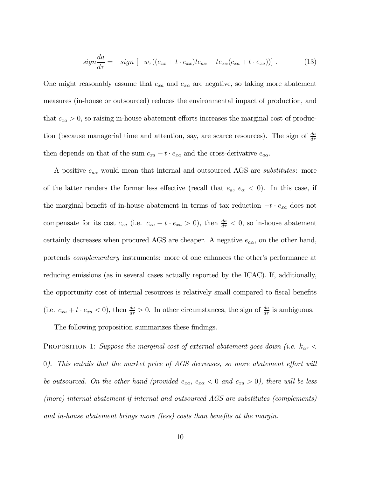$$
sign\frac{da}{d\tau} = -sign\left[-w_{\tau}((c_{xx} + t \cdot e_{xx})te_{a\alpha} - te_{x\alpha}(c_{xa} + t \cdot e_{xa}))\right].
$$
 (13)

One might reasonably assume that  $e_{xa}$  and  $e_{xa}$  are negative, so taking more abatement measures (in-house or outsourced) reduces the environmental impact of production, and that  $c_{xa} > 0$ , so raising in-house abatement efforts increases the marginal cost of production (because managerial time and attention, say, are scarce resources). The sign of  $\frac{da}{d\tau}$ then depends on that of the sum  $c_{xa} + t \cdot e_{xa}$  and the cross-derivative  $e_{aa}$ .

A positive  $e_{a\alpha}$  would mean that internal and outsourced AGS are *substitutes*: more of the latter renders the former less effective (recall that  $e_a, e_{\alpha} < 0$ ). In this case, if the marginal benefit of in-house abatement in terms of tax reduction  $-t \cdot e_{xa}$  does not compensate for its cost  $c_{xa}$  (i.e.  $c_{xa} + t \cdot e_{xa} > 0$ ), then  $\frac{da}{d\tau} < 0$ , so in-house abatement certainly decreases when procured AGS are cheaper. A negative  $e_{a\alpha}$ , on the other hand, portends complementary instruments: more of one enhances the other's performance at reducing emissions (as in several cases actually reported by the ICAC). If, additionally, the opportunity cost of internal resources is relatively small compared to fiscal benefits (i.e.  $c_{xa} + t \cdot e_{xa} < 0$ ), then  $\frac{da}{d\tau} > 0$ . In other circumstances, the sign of  $\frac{da}{d\tau}$  is ambiguous.

The following proposition summarizes these findings.

PROPOSITION 1: Suppose the marginal cost of external abatement goes down (i.e.  $k_{\alpha\tau}$  < 0). This entails that the market price of AGS decreases, so more abatement effort will be outsourced. On the other hand (provided  $e_{xa}$ ,  $e_{xa}$  < 0 and  $c_{xa}$  > 0), there will be less (more) internal abatement if internal and outsourced AGS are substitutes (complements) and in-house abatement brings more (less) costs than benefits at the margin.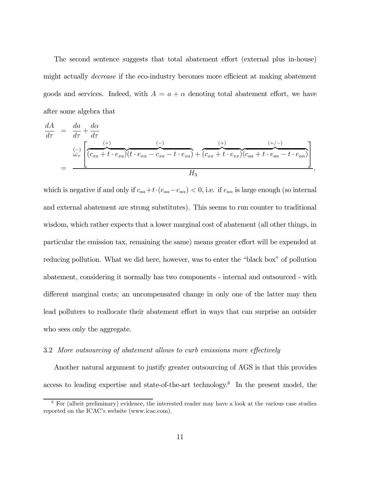The second sentence suggests that total abatement effort (external plus in-house) might actually decrease if the eco-industry becomes more efficient at making abatement goods and services. Indeed, with  $A = a + \alpha$  denoting total abatement effort, we have after some algebra that

 <sup>=</sup> <sup>+</sup> = (−) ⎡ ⎣ (+) <sup>z</sup> }| { ( <sup>+</sup> · ) (−) <sup>z</sup> }| { ( · <sup>−</sup> <sup>−</sup> · ) + (+) <sup>z</sup> }| { ( <sup>+</sup> · ) (+−) <sup>z</sup> }| { ( <sup>+</sup> · <sup>−</sup> · ) ⎤ ⎦ <sup>3</sup>

 $,$ 

which is negative if and only if  $c_{aa}+t\cdot(e_{aa}-e_{a\alpha})<0$ , i.e. if  $e_{a\alpha}$  is large enough (so internal and external abatement are strong substitutes). This seems to run counter to traditional wisdom, which rather expects that a lower marginal cost of abatement (all other things, in particular the emission tax, remaining the same) means greater effort will be expended at reducing pollution. What we did here, however, was to enter the "black box" of pollution abatement, considering it normally has two components - internal and outsourced - with different marginal costs; an uncompensated change in only one of the latter may then lead polluters to reallocate their abatement effort in ways that can surprise an outsider who sees only the aggregate.

#### 3.2 More outsourcing of abatement allows to curb emissions more effectively

Another natural argument to justify greater outsourcing of AGS is that this provides access to leading expertise and state-of-the-art technology.6 In the present model, the

 $6$  For (albeit preliminary) evidence, the interested reader may have a look at the various case studies reported on the ICAC's website (www.icac.com).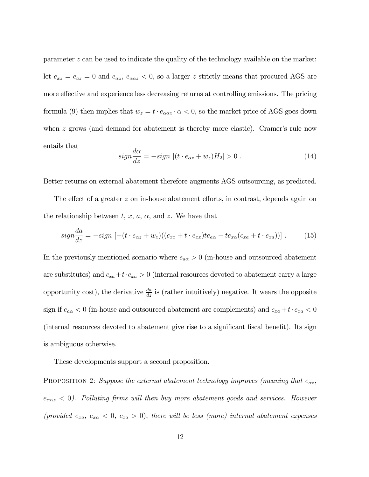parameter  $z$  can be used to indicate the quality of the technology available on the market: let  $e_{xz} = e_{az} = 0$  and  $e_{\alpha z}$ ,  $e_{\alpha \alpha z} < 0$ , so a larger z strictly means that procured AGS are more effective and experience less decreasing returns at controlling emissions. The pricing formula (9) then implies that  $w_z = t \cdot e_{\alpha\alpha z} \cdot \alpha < 0$ , so the market price of AGS goes down when  $z$  grows (and demand for abatement is thereby more elastic). Cramer's rule now entails that

$$
sign\frac{d\alpha}{dz} = -sign\left[ (t \cdot e_{\alpha z} + w_z)H_2 \right] > 0.
$$
 (14)

Better returns on external abatement therefore augments AGS outsourcing, as predicted.

The effect of a greater  $z$  on in-house abatement efforts, in contrast, depends again on the relationship between  $t, x, a, \alpha$ , and  $z$ . We have that

$$
sign\frac{da}{dz} = -sign\left[ -(t \cdot e_{\alpha z} + w_z)((c_{xx} + t \cdot e_{xx})te_{a\alpha} - te_{x\alpha}(c_{xa} + t \cdot e_{xa})) \right].
$$
 (15)

In the previously mentioned scenario where  $e_{a\alpha} > 0$  (in-house and outsourced abatement are substitutes) and  $c_{xa}+t\cdot e_{xa}>0$  (internal resources devoted to abatement carry a large opportunity cost), the derivative  $\frac{da}{dz}$  is (rather intuitively) negative. It wears the opposite sign if  $e_{a\alpha} < 0$  (in-house and outsourced abatement are complements) and  $c_{xa}+t\cdot e_{xa} < 0$ (internal resources devoted to abatement give rise to a significant fiscal benefit). Its sign is ambiguous otherwise.

These developments support a second proposition.

PROPOSITION 2: Suppose the external abatement technology improves (meaning that  $e_{\alpha z}$ ,  $e_{\alpha\alpha z}$  < 0). Polluting firms will then buy more abatement goods and services. However (provided  $e_{xa}$ ,  $e_{xa}$  < 0,  $c_{xa}$  > 0), there will be less (more) internal abatement expenses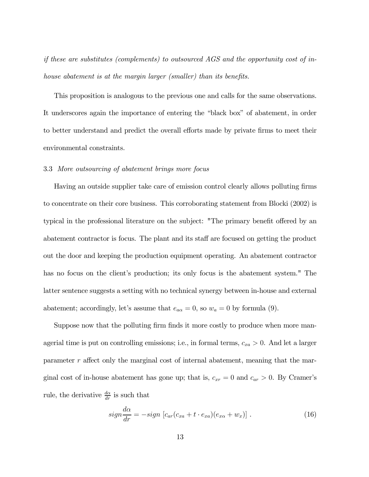if these are substitutes (complements) to outsourced AGS and the opportunity cost of inhouse abatement is at the margin larger (smaller) than its benefits.

This proposition is analogous to the previous one and calls for the same observations. It underscores again the importance of entering the "black box" of abatement, in order to better understand and predict the overall efforts made by private firms to meet their environmental constraints.

#### 3.3 More outsourcing of abatement brings more focus

Having an outside supplier take care of emission control clearly allows polluting firms to concentrate on their core business. This corroborating statement from Blocki (2002) is typical in the professional literature on the subject: "The primary benefit offered by an abatement contractor is focus. The plant and its staff are focused on getting the product out the door and keeping the production equipment operating. An abatement contractor has no focus on the client's production; its only focus is the abatement system." The latter sentence suggests a setting with no technical synergy between in-house and external abatement; accordingly, let's assume that  $e_{a\alpha} = 0$ , so  $w_a = 0$  by formula (9).

Suppose now that the polluting firm finds it more costly to produce when more managerial time is put on controlling emissions; i.e., in formal terms,  $c_{xa} > 0$ . And let a larger parameter  $r$  affect only the marginal cost of internal abatement, meaning that the marginal cost of in-house abatement has gone up; that is,  $c_{xr} = 0$  and  $c_{ar} > 0$ . By Cramer's rule, the derivative  $\frac{d\alpha}{dr}$  is such that

$$
sign\frac{d\alpha}{dr} = -sign\left[c_{ar}(c_{xa} + t \cdot e_{xa})(e_{xa} + w_x)\right].
$$
 (16)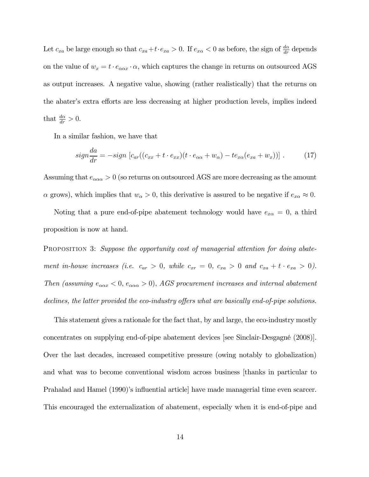Let  $c_{xa}$  be large enough so that  $c_{xa}+t\cdot e_{xa}>0$ . If  $e_{xa}<0$  as before, the sign of  $\frac{d\alpha}{dr}$  depends on the value of  $w_x = t \cdot e_{\alpha\alpha x} \cdot \alpha$ , which captures the change in returns on outsourced AGS as output increases. A negative value, showing (rather realistically) that the returns on the abater's extra efforts are less decreasing at higher production levels, implies indeed that  $\frac{d\alpha}{dr} > 0$ .

In a similar fashion, we have that

$$
sign\frac{da}{dr} = -sign\left[c_{ar}((c_{xx} + t \cdot e_{xx})(t \cdot e_{\alpha\alpha} + w_{\alpha}) - te_{x\alpha}(e_{xa} + w_{x}))\right].
$$
 (17)

Assuming that  $e_{\alpha\alpha} > 0$  (so returns on outsourced AGS are more decreasing as the amount  $\alpha$  grows), which implies that  $w_{\alpha} > 0$ , this derivative is assured to be negative if  $e_{x\alpha} \approx 0$ .

Noting that a pure end-of-pipe abatement technology would have  $e_{x\alpha} = 0$ , a third proposition is now at hand.

PROPOSITION 3: Suppose the opportunity cost of managerial attention for doing abatement in-house increases (i.e.  $c_{ar} > 0$ , while  $c_{xr} = 0$ ,  $c_{xa} > 0$  and  $c_{xa} + t \cdot e_{xa} > 0$ ). Then (assuming  $e_{\alpha\alpha x} < 0$ ,  $e_{\alpha\alpha\alpha} > 0$ ), AGS procurement increases and internal abatement declines, the latter provided the eco-industry offers what are basically end-of-pipe solutions.

This statement gives a rationale for the fact that, by and large, the eco-industry mostly concentrates on supplying end-of-pipe abatement devices [see Sinclair-Desgagné (2008)]. Over the last decades, increased competitive pressure (owing notably to globalization) and what was to become conventional wisdom across business [thanks in particular to Prahalad and Hamel (1990)'s influential article] have made managerial time even scarcer. This encouraged the externalization of abatement, especially when it is end-of-pipe and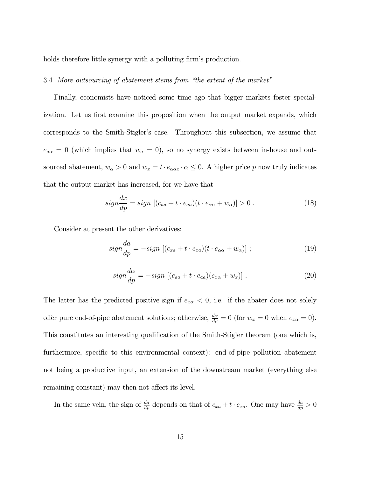holds therefore little synergy with a polluting firm's production.

#### 3.4 More outsourcing of abatement stems from "the extent of the market"

Finally, economists have noticed some time ago that bigger markets foster specialization. Let us first examine this proposition when the output market expands, which corresponds to the Smith-Stigler's case. Throughout this subsection, we assume that  $e_{a\alpha} = 0$  (which implies that  $w_a = 0$ ), so no synergy exists between in-house and outsourced abatement,  $w_{\alpha} > 0$  and  $w_x = t \cdot e_{\alpha \alpha x} \cdot \alpha \leq 0$ . A higher price  $p$  now truly indicates that the output market has increased, for we have that

$$
sign\frac{dx}{dp} = sign \left[ (c_{aa} + t \cdot e_{aa})(t \cdot e_{\alpha\alpha} + w_{\alpha}) \right] > 0 \ . \tag{18}
$$

Consider at present the other derivatives:

$$
sign\frac{da}{dp} = -sign\left[ (c_{xa} + t \cdot e_{xa})(t \cdot e_{\alpha\alpha} + w_{\alpha}) \right];\tag{19}
$$

$$
sign\frac{d\alpha}{dp} = -sign\left[ (c_{aa} + t \cdot e_{aa})(e_{x\alpha} + w_x) \right]. \tag{20}
$$

The latter has the predicted positive sign if  $e_{x\alpha} < 0$ , i.e. if the abater does not solely offer pure end-of-pipe abatement solutions; otherwise,  $\frac{d\alpha}{dp} = 0$  (for  $w_x = 0$  when  $e_{x\alpha} = 0$ ). This constitutes an interesting qualification of the Smith-Stigler theorem (one which is, furthermore, specific to this environmental context): end-of-pipe pollution abatement not being a productive input, an extension of the downstream market (everything else remaining constant) may then not affect its level.

In the same vein, the sign of  $\frac{da}{dp}$  depends on that of  $c_{xa} + t \cdot e_{xa}$ . One may have  $\frac{da}{dp} > 0$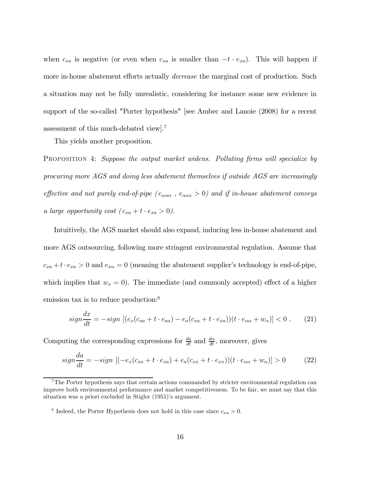when  $c_{xa}$  is negative (or even when  $c_{xa}$  is smaller than  $-t \cdot e_{xa}$ ). This will happen if more in-house abatement efforts actually *decrease* the marginal cost of production. Such a situation may not be fully unrealistic, considering for instance some new evidence in support of the so-called "Porter hypothesis" [see Ambec and Lanoie (2008) for a recent assessment of this much-debated view].7

This yields another proposition.

PROPOSITION 4: Suppose the output market widens. Polluting firms will specialize by procuring more AGS and doing less abatement themselves if outside AGS are increasingly effective and not purely end-of-pipe ( $e_{\alpha\alpha\alpha}$ ,  $e_{\alpha\alpha x} > 0$ ) and if in-house abatement conveys a large opportunity cost  $(c_{xa} + t \cdot e_{xa} > 0)$ .

Intuitively, the AGS market should also expand, inducing less in-house abatement and more AGS outsourcing, following more stringent environmental regulation. Assume that  $c_{xa} + t \cdot e_{xa} > 0$  and  $e_{xa} = 0$  (meaning the abatement supplier's technology is end-of-pipe, which implies that  $w_x = 0$ ). The immediate (and commonly accepted) effect of a higher emission tax is to reduce production:<sup>8</sup>

$$
sign\frac{dx}{dt} = -sign\left[ (e_x(c_{aa} + t \cdot e_{aa}) - e_a(c_{xa} + t \cdot e_{xa})) (t \cdot e_{\alpha a} + w_{\alpha}) \right] < 0. \tag{21}
$$

Computing the corresponding expressions for  $\frac{da}{dt}$  and  $\frac{da}{dt}$ , moreover, gives

$$
sign\frac{da}{dt} = -sign\left[(-e_x(c_{xa} + t \cdot e_{xa}) + e_a(c_{xx} + t \cdot e_{xx}))\left(t \cdot e_{\alpha\alpha} + w_{\alpha}\right)\right] > 0\tag{22}
$$

<sup>&</sup>lt;sup>7</sup>The Porter hypothesis says that certain actions commanded by stricter environmental regulation can improve both environmental performance and market competitiveness. To be fair, we must say that this situation was a priori excluded in Stigler (1951)'s argument.

<sup>&</sup>lt;sup>8</sup> Indeed, the Porter Hypothesis does not hold in this case since  $c_{xa} > 0$ .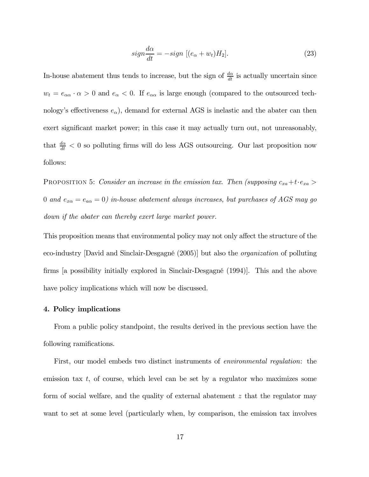$$
sign\frac{d\alpha}{dt} = -sign \left[ (e_{\alpha} + w_t)H_2 \right]. \tag{23}
$$

In-house abatement thus tends to increase, but the sign of  $\frac{d\alpha}{dt}$  is actually uncertain since  $w_t = e_{\alpha\alpha} \cdot \alpha > 0$  and  $e_{\alpha} < 0$ . If  $e_{\alpha\alpha}$  is large enough (compared to the outsourced technology's effectiveness  $e_{\alpha}$ ), demand for external AGS is inelastic and the abater can then exert significant market power; in this case it may actually turn out, not unreasonably, that  $\frac{d\alpha}{dt}$  < 0 so polluting firms will do less AGS outsourcing. Our last proposition now follows:

PROPOSITION 5: Consider an increase in the emission tax. Then (supposing  $c_{xa}+t\cdot e_{xa}$ ) 0 and  $e_{x\alpha} = e_{a\alpha} = 0$ ) in-house abatement always increases, but purchases of AGS may go down if the abater can thereby exert large market power.

This proposition means that environmental policy may not only affect the structure of the eco-industry [David and Sinclair-Desgagné (2005)] but also the organization of polluting firms [a possibility initially explored in Sinclair-Desgagné (1994)]. This and the above have policy implications which will now be discussed.

#### 4. Policy implications

From a public policy standpoint, the results derived in the previous section have the following ramifications.

First, our model embeds two distinct instruments of *environmental regulation*: the emission tax  $t$ , of course, which level can be set by a regulator who maximizes some form of social welfare, and the quality of external abatement  $z$  that the regulator may want to set at some level (particularly when, by comparison, the emission tax involves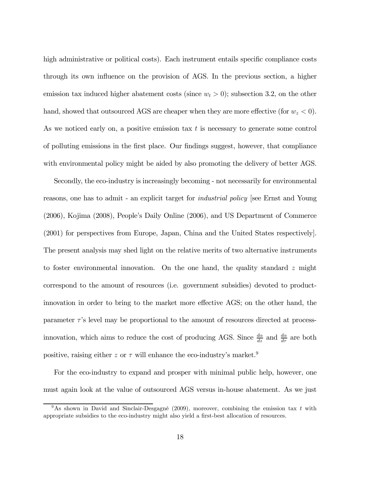high administrative or political costs). Each instrument entails specific compliance costs through its own influence on the provision of AGS. In the previous section, a higher emission tax induced higher abatement costs (since  $w_t > 0$ ); subsection 3.2, on the other hand, showed that outsourced AGS are cheaper when they are more effective (for  $w_z < 0$ ). As we noticed early on, a positive emission tax  $t$  is necessary to generate some control of polluting emissions in the first place. Our findings suggest, however, that compliance with environmental policy might be aided by also promoting the delivery of better AGS.

Secondly, the eco-industry is increasingly becoming - not necessarily for environmental reasons, one has to admit - an explicit target for industrial policy [see Ernst and Young (2006), Kojima (2008), People's Daily Online (2006), and US Department of Commerce (2001) for perspectives from Europe, Japan, China and the United States respectively]. The present analysis may shed light on the relative merits of two alternative instruments to foster environmental innovation. On the one hand, the quality standard  $z$  might correspond to the amount of resources (i.e. government subsidies) devoted to productinnovation in order to bring to the market more effective AGS; on the other hand, the parameter  $\tau$ 's level may be proportional to the amount of resources directed at processinnovation, which aims to reduce the cost of producing AGS. Since  $\frac{d\alpha}{dz}$  and  $\frac{d\alpha}{d\tau}$  are both positive, raising either z or  $\tau$  will enhance the eco-industry's market.<sup>9</sup>

For the eco-industry to expand and prosper with minimal public help, however, one must again look at the value of outsourced AGS versus in-house abatement. As we just

<sup>&</sup>lt;sup>9</sup>As shown in David and Sinclair-Desgagné (2009), moreover, combining the emission tax  $t$  with appropriate subsidies to the eco-industry might also yield a first-best allocation of resources.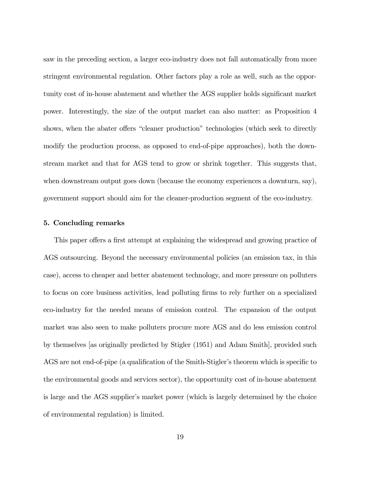saw in the preceding section, a larger eco-industry does not fall automatically from more stringent environmental regulation. Other factors play a role as well, such as the opportunity cost of in-house abatement and whether the AGS supplier holds significant market power. Interestingly, the size of the output market can also matter: as Proposition 4 shows, when the abater offers "cleaner production" technologies (which seek to directly modify the production process, as opposed to end-of-pipe approaches), both the downstream market and that for AGS tend to grow or shrink together. This suggests that, when downstream output goes down (because the economy experiences a downturn, say), government support should aim for the cleaner-production segment of the eco-industry.

#### 5. Concluding remarks

This paper offers a first attempt at explaining the widespread and growing practice of AGS outsourcing. Beyond the necessary environmental policies (an emission tax, in this case), access to cheaper and better abatement technology, and more pressure on polluters to focus on core business activities, lead polluting firms to rely further on a specialized eco-industry for the needed means of emission control. The expansion of the output market was also seen to make polluters procure more AGS and do less emission control by themselves [as originally predicted by Stigler (1951) and Adam Smith], provided such AGS are not end-of-pipe (a qualification of the Smith-Stigler's theorem which is specific to the environmental goods and services sector), the opportunity cost of in-house abatement is large and the AGS supplier's market power (which is largely determined by the choice of environmental regulation) is limited.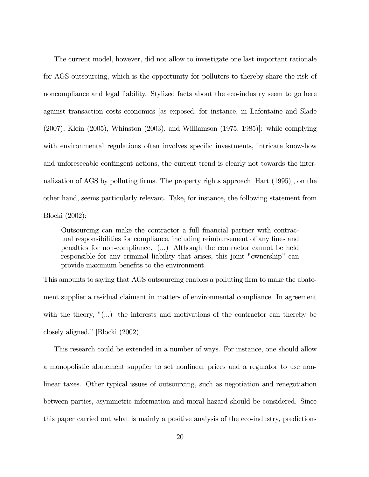The current model, however, did not allow to investigate one last important rationale for AGS outsourcing, which is the opportunity for polluters to thereby share the risk of noncompliance and legal liability. Stylized facts about the eco-industry seem to go here against transaction costs economics [as exposed, for instance, in Lafontaine and Slade (2007), Klein (2005), Whinston (2003), and Williamson (1975, 1985)]: while complying with environmental regulations often involves specific investments, intricate know-how and unforeseeable contingent actions, the current trend is clearly not towards the internalization of AGS by polluting firms. The property rights approach [Hart (1995)], on the other hand, seems particularly relevant. Take, for instance, the following statement from Blocki (2002):

Outsourcing can make the contractor a full financial partner with contractual responsibilities for compliance, including reimbursement of any fines and penalties for non-compliance. (...) Although the contractor cannot be held responsible for any criminal liability that arises, this joint "ownership" can provide maximum benefits to the environment.

This amounts to saying that AGS outsourcing enables a polluting firm to make the abatement supplier a residual claimant in matters of environmental compliance. In agreement with the theory, "(...) the interests and motivations of the contractor can thereby be closely aligned." [Blocki (2002)]

This research could be extended in a number of ways. For instance, one should allow a monopolistic abatement supplier to set nonlinear prices and a regulator to use nonlinear taxes. Other typical issues of outsourcing, such as negotiation and renegotiation between parties, asymmetric information and moral hazard should be considered. Since this paper carried out what is mainly a positive analysis of the eco-industry, predictions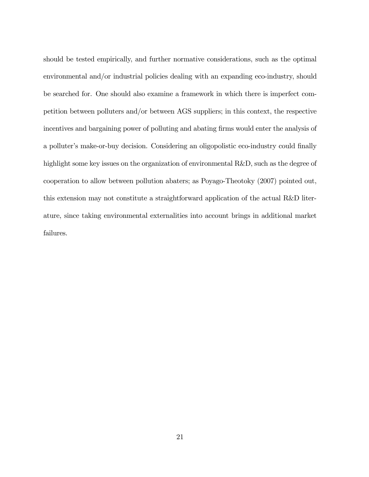should be tested empirically, and further normative considerations, such as the optimal environmental and/or industrial policies dealing with an expanding eco-industry, should be searched for. One should also examine a framework in which there is imperfect competition between polluters and/or between AGS suppliers; in this context, the respective incentives and bargaining power of polluting and abating firms would enter the analysis of a polluter's make-or-buy decision. Considering an oligopolistic eco-industry could finally highlight some key issues on the organization of environmental R&D, such as the degree of cooperation to allow between pollution abaters; as Poyago-Theotoky (2007) pointed out, this extension may not constitute a straightforward application of the actual R&D literature, since taking environmental externalities into account brings in additional market failures.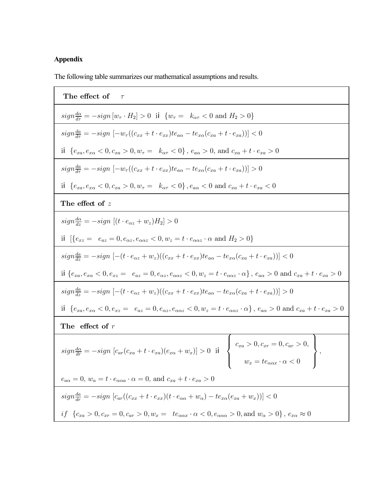# **Appendix**

The following table summarizes our mathematical assumptions and results.

| The effect of<br>$\tau$                                                                                                                                                                                                                    |
|--------------------------------------------------------------------------------------------------------------------------------------------------------------------------------------------------------------------------------------------|
| $sign\frac{d\alpha}{d\tau} = -sign[w_\tau \cdot H_2] > 0$ iz $\{w_\tau = k_{\alpha\tau} < 0 \text{ and } H_2 > 0\}$                                                                                                                        |
| $sign\frac{da}{d\tau} = -sign\left[-w_{\tau}\left((c_{xx} + t \cdot e_{xx})te_{a\alpha} - te_{x\alpha}(c_{xa} + t \cdot e_{xa})\right)\right] < 0$                                                                                         |
| iz $\{e_{xa}, e_{xa} < 0, c_{xa} > 0, w_{\tau} = k_{\alpha \tau} < 0\}$ , $e_{a\alpha} > 0$ , and $c_{xa} + t \cdot e_{xa} > 0$                                                                                                            |
| $sign\frac{da}{d\tau} = -sign\left[-w_{\tau}((c_{xx}+t\cdot e_{xx})te_{a\alpha} - te_{x\alpha}(c_{xa}+t\cdot e_{xa}))\right] > 0$                                                                                                          |
| iz ${e_{xa}, e_{xa} < 0, c_{xa} > 0, w_{\tau} = k_{\alpha\tau} < 0}$ , $e_{a\alpha} < 0$ and $c_{xa} + t \cdot e_{xa} < 0$                                                                                                                 |
| The effect of $z$                                                                                                                                                                                                                          |
| $sign\frac{d\alpha}{dz} = -sign[(t \cdot e_{\alpha z} + w_z)H_2] > 0$                                                                                                                                                                      |
| iz $\{e_{xz} = e_{az} = 0, e_{\alpha z}, e_{\alpha \alpha z} < 0, w_z = t \cdot e_{\alpha \alpha z} \cdot \alpha \text{ and } H_2 > 0\}$                                                                                                   |
| $sign\frac{da}{dz} = -sign\left[-(t \cdot e_{\alpha z} + w_z)((c_{xx} + t \cdot e_{xx})te_{a\alpha} - te_{x\alpha}(c_{xa} + t \cdot e_{xa}))\right] < 0$                                                                                   |
| $\mathrm{i} z \left\lbrace e_{xa}, e_{x\alpha}<0, e_{xz} = -e_{az}=0, e_{\alpha z}, e_{\alpha \alpha z}<0, w_z=t \cdot e_{\alpha \alpha z} \cdot \alpha \right\rbrace, \ e_{a \alpha}>0 \text{ and } c_{xa}+t \cdot e_{xa}>0$              |
| $sign\frac{da}{dz} = -sign\left[-(t \cdot e_{\alpha z} + w_z)((c_{xx} + t \cdot e_{xx})te_{a\alpha} - te_{x\alpha}(c_{xa} + t \cdot e_{xa}))\right] > 0$                                                                                   |
| iz $\{e_{xa}, e_{xa} < 0, e_{xz} = e_{az} = 0, e_{\alpha z}, e_{\alpha \alpha z} < 0, w_z = t \cdot e_{\alpha \alpha z} \cdot \alpha\}$ , $e_{a\alpha} > 0$ and $c_{xa} + t \cdot e_{xa} > 0$                                              |
| The effect of $r$                                                                                                                                                                                                                          |
| $\left\{\n\begin{array}{l}\nc_{xa} > 0, c_{xr} = 0, c_{ar} > 0,\n\end{array}\n\right\}$<br>$sign \frac{d\alpha}{dr} = -sign [c_{ar}(c_{xa} + t \cdot e_{xa})(e_{x\alpha} + w_x)] > 0$ iz<br>$w_x = t e_{\alpha \alpha x} \cdot \alpha < 0$ |
| $e_{a\alpha} = 0$ , $w_a = t \cdot e_{\alpha\alpha a} \cdot \alpha = 0$ , and $c_{xa} + t \cdot e_{xa} > 0$                                                                                                                                |
| $sign\frac{da}{dr} = -sign\left[c_{ar}((c_{xx} + t \cdot e_{xx})(t \cdot e_{\alpha\alpha} + w_{\alpha}) - te_{x\alpha}(e_{xa} + w_{x}))\right] < 0$                                                                                        |
| $if \ \left\{c_{xa}>0, c_{xr}=0, c_{ar}>0, w_x= \ \right.\\ \left. te_{\alpha\alpha x}\cdot\alpha<0, e_{\alpha\alpha\alpha}>0, \text{and}\ w_\alpha>0\right\},\ e_{x\alpha}\approx 0$                                                      |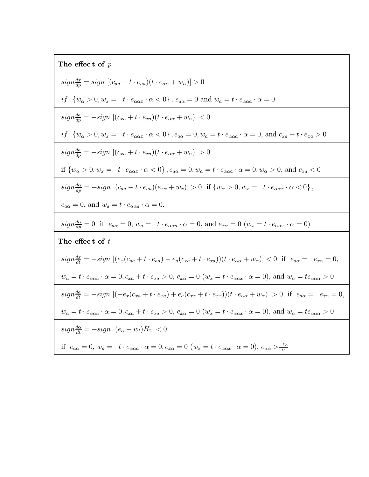| The effect of $p$                                                                                                                                                                                       |  |  |
|---------------------------------------------------------------------------------------------------------------------------------------------------------------------------------------------------------|--|--|
| $sign \frac{dx}{d\theta} = sign [(c_{aa} + t \cdot e_{aa})(t \cdot e_{\alpha\alpha} + w_{\alpha})] > 0$                                                                                                 |  |  |
| $if \ \ \{w_{\alpha}>0, w_x=\ \ t\cdot e_{\alpha\alpha x}\cdot \alpha<0\}\,,\, e_{a\alpha}=0\ \text{and}\ w_a=t\cdot e_{\alpha\alpha a}\cdot \alpha=0$                                                  |  |  |
| $sign\frac{da}{dp} = -sign\left[ (c_{xa} + t \cdot e_{xa}) (t \cdot e_{\alpha\alpha} + w_{\alpha}) \right] < 0$                                                                                         |  |  |
| $if \ \{w_{\alpha}>0, w_x = \ t \cdot e_{\alpha\alpha x} \cdot \alpha < 0\} \text{ , } e_{a\alpha} = 0, w_a = t \cdot e_{\alpha\alpha a} \cdot \alpha = 0 \text{, and } c_{xa} + t \cdot e_{xa} > 0$    |  |  |
| $sign\frac{da}{dp} = -sign [(c_{xa} + t \cdot e_{xa})(t \cdot e_{\alpha\alpha} + w_{\alpha})] > 0$                                                                                                      |  |  |
| if $\{w_{\alpha} > 0, w_x = t \cdot e_{\alpha \alpha x} \cdot \alpha < 0\}$ , $e_{a\alpha} = 0, w_a = t \cdot e_{\alpha \alpha a} \cdot \alpha = 0, w_{\alpha} > 0$ , and $c_{xa} < 0$                  |  |  |
| $sign\frac{d\alpha}{d\sigma} = -sign\,\left[(c_{aa}+t\cdot e_{aa})(e_{x\alpha}+w_x)\right] > 0 \text{ if } \{w_\alpha>0, w_x = t\cdot e_{\alpha\alpha x} \cdot \alpha < 0\}\,,$                         |  |  |
| $e_{a\alpha} = 0$ , and $w_a = t \cdot e_{\alpha\alpha a} \cdot \alpha = 0$ .                                                                                                                           |  |  |
| $sign\frac{d\alpha}{dp} = 0$ if $e_{a\alpha} = 0$ , $w_a = t \cdot e_{\alpha\alpha a} \cdot \alpha = 0$ , and $e_{x\alpha} = 0$ $(w_x = t \cdot e_{\alpha\alpha x} \cdot \alpha = 0)$                   |  |  |
| The effect of $t$                                                                                                                                                                                       |  |  |
| $sign\frac{dx}{dt} = -sign\left[(e_x(c_{aa} + t \cdot e_{aa}) - e_a(c_{xa} + t \cdot e_{xa}))\right](t \cdot e_{\alpha a} + w_{\alpha})] < 0$ if $e_{a\alpha} = e_{x\alpha} = 0$ ,                      |  |  |
| $w_a = t \cdot e_{\alpha\alpha a} \cdot \alpha = 0, c_{xa} + t \cdot e_{xa} > 0, e_{xa} = 0$ $(w_x = t \cdot e_{\alpha\alpha x} \cdot \alpha = 0),$ and $w_\alpha = t e_{\alpha\alpha\alpha} > 0$       |  |  |
| $sign\frac{da}{dt} = -sign\left[(-e_x(c_{xa} + t \cdot e_{xa}) + e_a(c_{xx} + t \cdot e_{xx}))\right](t \cdot e_{\alpha a} + w_{\alpha})] > 0$ if $e_{a\alpha} = e_{x\alpha} = 0$ ,                     |  |  |
| $w_a = t \cdot e_{\alpha\alpha a} \cdot \alpha = 0, c_{xa} + t \cdot e_{xa} > 0, e_{xa} = 0$ $(w_x = t \cdot e_{\alpha\alpha x} \cdot \alpha = 0),$ and $w_\alpha = t e_{\alpha\alpha\alpha} > 0$       |  |  |
| $sign\frac{d\alpha}{dt} = -sign [(e_{\alpha} + w_t)H_2] < 0$                                                                                                                                            |  |  |
| if $e_{a\alpha} = 0$ , $w_a = t \cdot e_{\alpha\alpha a} \cdot \alpha = 0$ , $e_{x\alpha} = 0$ $(w_x = t \cdot e_{\alpha\alpha x} \cdot \alpha = 0)$ , $e_{\alpha\alpha} > \frac{ e_{\alpha} }{\alpha}$ |  |  |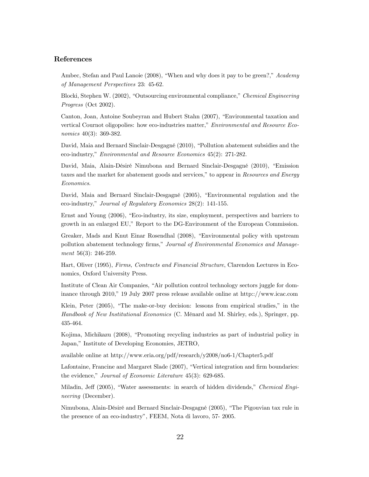#### References

Ambec, Stefan and Paul Lanoie (2008), "When and why does it pay to be green?," Academy of Management Perspectives 23: 45-62.

Blocki, Stephen W. (2002), "Outsourcing environmental compliance," Chemical Engineering Progress (Oct 2002).

Canton, Joan, Antoine Soubeyran and Hubert Stahn (2007), "Environmental taxation and vertical Cournot oligopolies: how eco-industries matter," Environmental and Resource Economics 40(3): 369-382.

David, Maia and Bernard Sinclair-Desgagné (2010), "Pollution abatement subsidies and the eco-industry," Environmental and Resource Economics 45(2): 271-282.

David, Maia, Alain-Désiré Nimubona and Bernard Sinclair-Desgagné (2010), "Emission taxes and the market for abatement goods and services," to appear in Resources and Energy Economics.

David, Maia and Bernard Sinclair-Desgagné (2005), "Environmental regulation and the eco-industry," Journal of Regulatory Economics 28(2): 141-155.

Ernst and Young (2006), "Eco-industry, its size, employment, perspectives and barriers to growth in an enlarged EU," Report to the DG-Environment of the European Commission.

Greaker, Mads and Knut Einar Rosendhal (2008), "Environmental policy with upstream pollution abatement technology firms," Journal of Environmental Economics and Management 56(3): 246-259.

Hart, Oliver (1995), Firms, Contracts and Financial Structure, Clarendon Lectures in Economics, Oxford University Press.

Institute of Clean Air Companies, "Air pollution control technology sectors juggle for dominance through 2010," 19 July 2007 press release available online at http:://www.icac.com

Klein, Peter (2005), "The make-or-buy decision: lessons from empirical studies," in the Handbook of New Institutional Economics (C. Ménard and M. Shirley, eds.), Springer, pp. 435-464.

Kojima, Michikazu (2008), "Promoting recycling industries as part of industrial policy in Japan," Institute of Developing Economies, JETRO,

available online at http://www.eria.org/pdf/research/y2008/no6-1/Chapter5.pdf

Lafontaine, Francine and Margaret Slade (2007), "Vertical integration and firm boundaries: the evidence," Journal of Economic Literature 45(3): 629-685.

Miladin, Jeff (2005), "Water assessments: in search of hidden dividends," Chemical Engineering (December).

Nimubona, Alain-Désiré and Bernard Sinclair-Desgagné (2005), "The Pigouvian tax rule in the presence of an eco-industry", FEEM, Nota di lavoro, 57- 2005.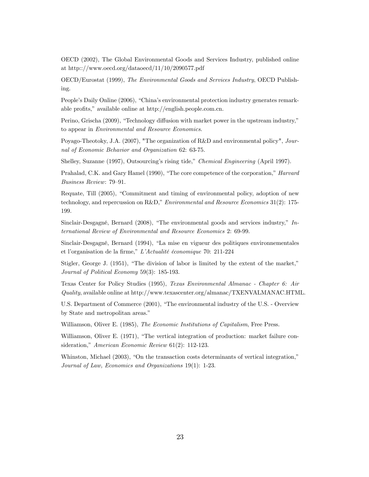OECD (2002), The Global Environmental Goods and Services Industry, published online at http:://www.oecd.org/dataoecd/11/10/2090577.pdf

OECD/Eurostat (1999), The Environmental Goods and Services Industry, OECD Publishing.

People's Daily Online (2006), "China's environmental protection industry generates remarkable profits," available online at http://english.people.com.cn.

Perino, Grischa (2009), "Technology diffusion with market power in the upstream industry," to appear in Environmental and Resource Economics.

Poyago-Theotoky, J.A. (2007), "The organization of R&D and environmental policy", Journal of Economic Behavior and Organization 62: 63-75.

Shelley, Suzanne (1997), Outsourcing's rising tide," Chemical Engineering (April 1997).

Prahalad, C.K. and Gary Hamel (1990), "The core competence of the corporation," Harvard Business Review: 79—91.

Requate, Till (2005), "Commitment and timing of environmental policy, adoption of new technology, and repercussion on R&D," *Environmental and Resource Economics* 31(2): 175-199.

Sinclair-Desgagné, Bernard (2008), "The environmental goods and services industry," International Review of Environmental and Resource Economics 2: 69-99.

Sinclair-Desgagné, Bernard (1994), "La mise en vigueur des politiques environnementales et l'organisation de la firme," L'Actualité économique 70: 211-224

Stigler, George J. (1951), "The division of labor is limited by the extent of the market," Journal of Political Economy 59(3): 185-193.

Texas Center for Policy Studies (1995), Texas Environmental Almanac - Chapter 6: Air Quality, available online at http://www.texascenter.org/almanac/TXENVALMANAC.HTML.

U.S. Department of Commerce (2001), "The environmental industry of the U.S. - Overview by State and metropolitan areas."

Williamson, Oliver E. (1985), The Economic Institutions of Capitalism, Free Press.

Williamson, Oliver E. (1971), "The vertical integration of production: market failure consideration," American Economic Review 61(2): 112-123.

Whinston, Michael (2003), "On the transaction costs determinants of vertical integration," Journal of Law, Economics and Organizations 19(1): 1-23.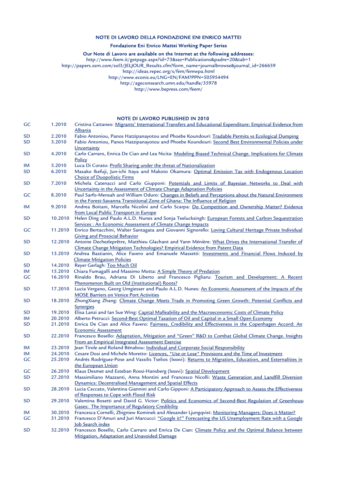#### NOTE DI LAVORO DELLA FONDAZIONE ENI ENRICO MATTEI

#### Fondazione Eni Enrico Mattei Working Paper Series

#### Our Note di Lavoro are available on the Internet at the following addresses:

http://www.feem.it/getpage.aspx?id=73&sez=Publications&padre=20&tab=1

http://papers.ssrn.com/sol3/JELJOUR\_Results.cfm?form\_name=journalbrowse&journal\_id=266659

http://ideas.repec.org/s/fem/femwpa.html

http://www.econis.eu/LNG=EN/FAM?PPN=505954494

http://ageconsearch.umn.edu/handle/35978

http://www.bepress.com/feem/

#### NOTE DI LAVORO PUBLISHED IN 2010

| GC        | 1.2010  | Cristina Cattaneo: Migrants' International Transfers and Educational Expenditure: Empirical Evidence from                                                                           |
|-----------|---------|-------------------------------------------------------------------------------------------------------------------------------------------------------------------------------------|
|           |         | <u>Albania</u>                                                                                                                                                                      |
| <b>SD</b> | 2.2010  | Fabio Antoniou, Panos Hatzipanayotou and Phoebe Koundouri: Tradable Permits vs Ecological Dumping                                                                                   |
| SD        | 3.2010  | Fabio Antoniou, Panos Hatzipanayotou and Phoebe Koundouri: Second Best Environmental Policies under<br>Uncertainty                                                                  |
| <b>SD</b> | 4.2010  | Carlo Carraro, Enrica De Cian and Lea Nicita: Modeling Biased Technical Change. Implications for Climate                                                                            |
|           |         | Policy                                                                                                                                                                              |
| IM        | 5.2010  | Luca Di Corato: Profit Sharing under the threat of Nationalization                                                                                                                  |
| <b>SD</b> | 6.2010  | Masako Ikefuji, Jun-ichi Itaya and Makoto Okamura: Optimal Emission Tax with Endogenous Location                                                                                    |
|           |         | <b>Choice of Duopolistic Firms</b>                                                                                                                                                  |
| <b>SD</b> | 7.2010  | Michela Catenacci and Carlo Giupponi: Potentials and Limits of Bayesian Networks to Deal with                                                                                       |
|           |         | Uncertainty in the Assessment of Climate Change Adaptation Policies                                                                                                                 |
| GC        | 8.2010  | Paul Sarfo-Mensah and William Oduro: Changes in Beliefs and Perceptions about the Natural Environment                                                                               |
|           |         | in the Forest-Savanna Transitional Zone of Ghana: The Influence of Religion                                                                                                         |
| IM        | 9.2010  | Andrea Boitani, Marcella Nicolini and Carlo Scarpa: Do Competition and Ownership Matter? Evidence                                                                                   |
|           |         | from Local Public Transport in Europe                                                                                                                                               |
| <b>SD</b> | 10.2010 | Helen Ding and Paulo A.L.D. Nunes and Sonja Teelucksingh: European Forests and Carbon Sequestration                                                                                 |
|           |         | Services : An Economic Assessment of Climate Change Impacts                                                                                                                         |
| GC        | 11.2010 | Enrico Bertacchini, Walter Santagata and Giovanni Signorello: Loving Cultural Heritage Private Individual                                                                           |
|           |         | <b>Giving and Prosocial Behavior</b>                                                                                                                                                |
| <b>SD</b> | 12.2010 | Antoine Dechezleprêtre, Matthieu Glachant and Yann Ménière: What Drives the International Transfer of                                                                               |
|           |         | Climate Change Mitigation Technologies? Empirical Evidence from Patent Data                                                                                                         |
| SD        | 13.2010 | Andrea Bastianin, Alice Favero and Emanuele Massetti: Investments and Financial Flows Induced by                                                                                    |
|           |         | <b>Climate Mitigation Policies</b>                                                                                                                                                  |
| SD        | 14.2010 | Reyer Gerlagh: Too Much Oil                                                                                                                                                         |
| IM        | 15.2010 | Chiara Fumagalli and Massimo Motta: A Simple Theory of Predation                                                                                                                    |
| GC        | 16.2010 | Rinaldo Brau, Adriana Di Liberto and Francesco Pigliaru: Tourism and Development: A Recent                                                                                          |
|           |         | Phenomenon Built on Old (Institutional) Roots?                                                                                                                                      |
| <b>SD</b> | 17.2010 | Lucia Vergano, Georg Umgiesser and Paulo A.L.D. Nunes: An Economic Assessment of the Impacts of the                                                                                 |
|           |         | <b>MOSE Barriers on Venice Port Activities</b>                                                                                                                                      |
| <b>SD</b> | 18.2010 | ZhongXiang Zhang: Climate Change Meets Trade in Promoting Green Growth: Potential Conflicts and                                                                                     |
|           |         | <b>Synergies</b>                                                                                                                                                                    |
| SD        | 19.2010 | Elisa Lanzi and Ian Sue Wing: Capital Malleability and the Macroeconomic Costs of Climate Policy                                                                                    |
| IM        | 20.2010 | Alberto Petrucci: Second-Best Optimal Taxation of Oil and Capital in a Small Open Economy                                                                                           |
| <b>SD</b> | 21.2010 | Enrica De Cian and Alice Favero: Fairness, Credibility and Effectiveness in the Copenhagen Accord: An                                                                               |
|           |         | <b>Economic Assessment</b>                                                                                                                                                          |
| <b>SD</b> | 22.2010 | Francesco Bosello: Adaptation, Mitigation and "Green" R&D to Combat Global Climate Change. Insights                                                                                 |
|           |         | From an Empirical Integrated Assessment Exercise                                                                                                                                    |
| IM        | 23.2010 | Jean Tirole and Roland Bénabou: Individual and Corporate Social Responsibility                                                                                                      |
| IM        | 24.2010 | Cesare Dosi and Michele Moretto: Licences, "Use or Lose" Provisions and the Time of Investment                                                                                      |
| GC        | 25.2010 | Andrés Rodríguez-Pose and Vassilis Tselios (Ixxxvi): Returns to Migration, Education, and Externalities in                                                                          |
|           |         | the European Union                                                                                                                                                                  |
| GC        | 26.2010 | Klaus Desmet and Esteban Rossi-Hansberg (Ixxxvi): Spatial Development<br>27.2010 Massimiliano Mazzanti, Anna Montini and Francesco Nicolli: Waste Generation and Landfill Diversion |
| SD        |         | Dynamics: Decentralised Management and Spatial Effects                                                                                                                              |
| <b>SD</b> | 28.2010 | Lucia Ceccato, Valentina Giannini and Carlo Gipponi: A Participatory Approach to Assess the Effectiveness                                                                           |
|           |         | of Responses to Cope with Flood Risk                                                                                                                                                |
| SD        | 29.2010 | Valentina Bosetti and David G. Victor: Politics and Economics of Second-Best Regulation of Greenhouse                                                                               |
|           |         | <b>Gases: The Importance of Regulatory Credibility</b>                                                                                                                              |
| ΙM        | 30.2010 | Francesca Cornelli, Zbigniew Kominek and Alexander Ljungqvist: Monitoring Managers: Does it Matter?                                                                                 |
| GC        | 31.2010 | Francesco D'Amuri and Juri Marcucci: "Google it!" Forecasting the US Unemployment Rate with a Google                                                                                |
|           |         | <b>Job Search index</b>                                                                                                                                                             |
| <b>SD</b> | 32.2010 | Francesco Bosello, Carlo Carraro and Enrica De Cian: Climate Policy and the Optimal Balance between                                                                                 |
|           |         | Mitigation, Adaptation and Unavoided Damage                                                                                                                                         |
|           |         |                                                                                                                                                                                     |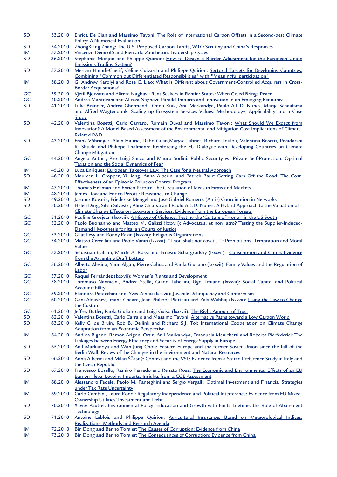| SD        | 33.2010            | Enrica De Cian and Massimo Tavoni: The Role of International Carbon Offsets in a Second-best Climate<br>Policy: A Numerical Evaluation                                                                           |
|-----------|--------------------|------------------------------------------------------------------------------------------------------------------------------------------------------------------------------------------------------------------|
| SD        | 34.2010            | ZhongXiang Zhang: The U.S. Proposed Carbon Tariffs, WTO Scrutiny and China's Responses                                                                                                                           |
| ΙM        | 35.2010            | Vincenzo Denicolò and Piercarlo Zanchettin: Leadership Cycles                                                                                                                                                    |
| SD        | 36.2010            | Stéphanie Monjon and Philippe Quirion: How to Design a Border Adjustment for the European Union<br><b>Emissions Trading System?</b>                                                                              |
| SD        | 37.2010            | Meriem Hamdi-Cherif, Céline Guivarch and Philippe Quirion: Sectoral Targets for Developing Countries:<br>Combining "Common but Differentiated Responsibilities" with "Meaningful participation"                  |
| IM        | 38.2010            | G. Andrew Karolyi and Rose C. Liao: What is Different about Government-Controlled Acquirers in Cross-<br><b>Border Acquisitions?</b>                                                                             |
| GC        | 39.2010            | Kjetil Bjorvatn and Alireza Naghavi: Rent Seekers in Rentier States: When Greed Brings Peace                                                                                                                     |
| GC        | 40.2010            | Andrea Mantovani and Alireza Naghavi: Parallel Imports and Innovation in an Emerging Economy                                                                                                                     |
| <b>SD</b> | 41.2010            | Luke Brander, Andrea Ghermandi, Onno Kuik, Anil Markandya, Paulo A.L.D. Nunes, Marije Schaafsma<br>and Alfred Wagtendonk: Scaling up Ecosystem Services Values: Methodology, Applicability and a Case            |
| SD        | 42.2010            | Study<br>Valentina Bosetti, Carlo Carraro, Romain Duval and Massimo Tavoni: What Should We Expect from<br>Innovation? A Model-Based Assessment of the Environmental and Mitigation Cost Implications of Climate- |
|           |                    | <b>Related R&amp;D</b>                                                                                                                                                                                           |
| SD        | 43.2010            | Frank Vöhringer, Alain Haurie, Dabo Guan, Maryse Labriet, Richard Loulou, Valentina Bosetti, Pryadarshi<br>R. Shukla and Philippe Thalmann: Reinforcing the EU Dialogue with Developing Countries on Climate     |
| GC        | 44.2010            | <b>Change Mitigation</b><br>Angelo Antoci, Pier Luigi Sacco and Mauro Sodini: Public Security vs. Private Self-Protection: Optimal<br>Taxation and the Social Dynamics of Fear                                   |
| IM        | 45.2010            | Luca Enriques: European Takeover Law: The Case for a Neutral Approach                                                                                                                                            |
| SD        | 46.2010            | Maureen L. Cropper, Yi Jiang, Anna Alberini and Patrick Baur: Getting Cars Off the Road: The Cost-                                                                                                               |
|           |                    | <b>Effectiveness of an Episodic Pollution Control Program</b>                                                                                                                                                    |
| IM        | 47.2010            | Thomas Hellman and Enrico Perotti: The Circulation of Ideas in Firms and Markets                                                                                                                                 |
| IM        | 48.2010            | James Dow and Enrico Perotti: Resistance to Change                                                                                                                                                               |
| SD        | 49.2010            | Jaromir Kovarik, Friederike Mengel and José Gabriel Romero: (Anti-) Coordination in Networks                                                                                                                     |
| <b>SD</b> | 50.2010            | Helen Ding, Silvia Silvestri, Aline Chiabai and Paulo A.L.D. Nunes: A Hybrid Approach to the Valuation of<br>Climate Change Effects on Ecosystem Services: Evidence from the European Forests                    |
| GC        | 51.2010            | Pauline Grosjean (Ixxxvii): A History of Violence: Testing the 'Culture of Honor' in the US South                                                                                                                |
| GC        | 52.2010            | Paolo Buonanno and Matteo M. Galizzi (Ixxxvii): Advocatus, et non latro? Testing the Supplier-Induced-<br>Demand Hypothesis for Italian Courts of Justice                                                        |
| GC        | 53.2010            | Gilat Levy and Ronny Razin (Ixxxvii): Religious Organizations                                                                                                                                                    |
| GC        | 54.2010            | Matteo Cervellati and Paolo Vanin (Ixxxvii): "Thou shalt not covet ": Prohibitions, Temptation and Moral<br>Values                                                                                               |
| GC        | 55.2010            | Sebastian Galiani, Martín A. Rossi and Ernesto Schargrodsky (Ixxxvii): Conscription and Crime: Evidence<br>from the Argentine Draft Lottery                                                                      |
| GC        | 56.2010            | Alberto Alesina, Yann Algan, Pierre Cahuc and Paola Giuliano (Ixxxvii): Family Values and the Regulation of<br>Labor                                                                                             |
| GC        | 57.2010            | Raquel Fernández (Ixxxvii): Women's Rights and Development                                                                                                                                                       |
| GC        | 58.2010            | Tommaso Nannicini, Andrea Stella, Guido Tabellini, Ugo Troiano (Ixxxvii): Social Capital and Political<br>Accountability                                                                                         |
| GC        | 59.2010            | Eleonora Patacchini and Yves Zenou (Ixxxii): Juvenile Delinquency and Conformism                                                                                                                                 |
| GC        | 60.2010            | Gani Aldashev, Imane Chaara, Jean-Philippe Platteau and Zaki Wahhaj (Ixxxvii): Using the Law to Change<br>the Custom                                                                                             |
| GC        | 61.2010            | Jeffrey Butler, Paola Giuliano and Luigi Guiso (Ixxxvii): The Right Amount of Trust                                                                                                                              |
| SD        | 62.2010            | Valentina Bosetti, Carlo Carraio and Massimo Tavoni: Alternative Paths toward a Low Carbon World                                                                                                                 |
| SD        | 63.2010            | Kelly C. de Bruin, Rob B. Dellink and Richard S.J. Tol: International Cooperation on Climate Change<br><b>Adaptation from an Economic Perspective</b>                                                            |
| IM        | 64.2010            | Andrea Bigano, Ramon Arigoni Ortiz, Anil Markandya, Emanuela Menichetti and Roberta Pierfederici: The<br>Linkages between Energy Efficiency and Security of Energy Supply in Europe                              |
| SD        | 65.2010            | Anil Markandya and Wan-Jung Chou: Eastern Europe and the former Soviet Union since the fall of the<br>Berlin Wall: Review of the Changes in the Environment and Natural Resources                                |
| SD        | 66.2010            | Anna Alberini and Milan Ščasný: Context and the VSL: Evidence from a Stated Preference Study in Italy and<br>the Czech Republic                                                                                  |
| SD        | 67.2010            | Francesco Bosello, Ramiro Parrado and Renato Rosa: The Economic and Environmental Effects of an EU<br>Ban on Illegal Logging Imports. Insights from a CGE Assessment                                             |
| IM        | 68.2010            | Alessandro Fedele, Paolo M. Panteghini and Sergio Vergalli: Optimal Investment and Financial Strategies<br>under Tax Rate Uncertainty                                                                            |
| IM        | 69.2010            | Carlo Cambini, Laura Rondi: Regulatory Independence and Political Interference: Evidence from EU Mixed-<br>Ownership Utilities' Investment and Debt                                                              |
| SD        | 70.2010            | Xavier Pautrel: Environmental Policy, Education and Growth with Finite Lifetime: the Role of Abatement<br>Technology                                                                                             |
| <b>SD</b> | 71.2010            | Antoine Leblois and Philippe Quirion: Agricultural Insurances Based on Meteorological Indices:<br>Realizations, Methods and Research Agenda                                                                      |
| IM<br>IM  | 72.2010<br>73.2010 | Bin Dong and Benno Torgler: The Causes of Corruption: Evidence from China<br>Bin Dong and Benno Torgler: The Consequences of Corruption: Evidence from China                                                     |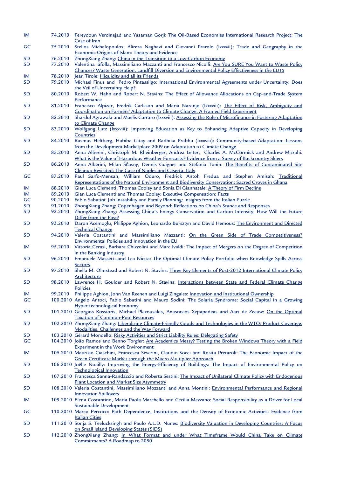| IM        |         | 74.2010 Fereydoun Verdinejad and Yasaman Gorji: The Oil-Based Economies International Research Project. The<br>Case of Iran.                                                           |
|-----------|---------|----------------------------------------------------------------------------------------------------------------------------------------------------------------------------------------|
| GC        | 75.2010 | Stelios Michalopoulos, Alireza Naghavi and Giovanni Prarolo (Ixxvii): Trade and Geography in the<br>Economic Origins of Islam: Theory and Evidence                                     |
| <b>SD</b> | 76.2010 | ZhongXiang Zhang: China in the Transition to a Low-Carbon Economy                                                                                                                      |
| <b>SD</b> | 77.2010 | Valentina Iafolla, Massimiliano Mazzanti and Francesco Nicolli: Are You SURE You Want to Waste Policy                                                                                  |
|           |         | Chances? Waste Generation, Landfill Diversion and Environmental Policy Effectiveness in the EU15                                                                                       |
| IM        | 78.2010 | Jean Tirole: <b>Illiquidity</b> and all its Friends                                                                                                                                    |
| <b>SD</b> | 79.2010 | Michael Finus and Pedro Pintassilgo: International Environmental Agreements under Uncertainty: Does<br>the Veil of Uncertainty Help?                                                   |
|           |         |                                                                                                                                                                                        |
| <b>SD</b> | 80.2010 | Robert W. Hahn and Robert N. Stavins: The Effect of Allowance Allocations on Cap-and-Trade System<br>Performance                                                                       |
| <b>SD</b> | 81.2010 | Francisco Alpizar, Fredrik Carlsson and Maria Naranjo (Ixxwiii): The Effect of Risk, Ambiguity and<br>Coordination on Farmers' Adaptation to Climate Change: A Framed Field Experiment |
| <b>SD</b> | 82.2010 | Shardul Agrawala and Maëlis Carraro (Ixxwiii): Assessing the Role of Microfinance in Fostering Adaptation                                                                              |
|           |         | to Climate Change                                                                                                                                                                      |
| <b>SD</b> | 83.2010 | Wolfgang Lutz (Ixxviii): Improving Education as Key to Enhancing Adaptive Capacity in Developing<br>Countries                                                                          |
| <b>SD</b> | 84.2010 | Rasmus Heltberg, Habiba Gitay and Radhika Prabhu (Ixxxviii): Community-based Adaptation: Lessons                                                                                       |
|           |         | from the Development Marketplace 2009 on Adaptation to Climate Change                                                                                                                  |
| <b>SD</b> | 85.2010 | Anna Alberini, Christoph M. Rheinberger, Andrea Leiter, Charles A. McCormick and Andrew Mizrahi:                                                                                       |
|           |         | What is the Value of Hazardous Weather Forecasts? Evidence from a Survey of Backcountry Skiers                                                                                         |
|           |         |                                                                                                                                                                                        |
| <b>SD</b> | 86.2010 | Anna Alberini, Milan Ščasný, Dennis Guignet and Stefania Tonin: The Benefits of Contaminated Site<br>Cleanup Revisited: The Case of Naples and Caserta, Italy                          |
| GC        | 87.2010 | Paul Sarfo-Mensah, William Oduro, Fredrick Antoh Fredua and Stephen Amisah: Traditional                                                                                                |
|           |         | Representations of the Natural Environment and Biodiversity Conservation: Sacred Groves in Ghana                                                                                       |
|           |         |                                                                                                                                                                                        |
| IM        | 88.2010 | Gian Luca Clementi, Thomas Cooley and Sonia Di Giannatale: A Theory of Firm Decline                                                                                                    |
| IM        | 89.2010 | Gian Luca Clementi and Thomas Cooley: Executive Compensation: Facts                                                                                                                    |
| GC        | 90.2010 | Fabio Sabatini: Job Instability and Family Planning: Insights from the Italian Puzzle                                                                                                  |
| <b>SD</b> | 91.2010 | ZhongXiang Zhang: Copenhagen and Beyond: Reflections on China's Stance and Responses                                                                                                   |
| <b>SD</b> | 92.2010 | ZhongXiang Zhang: Assessing China's Energy Conservation and Carbon Intensity: How Will the Future<br>Differ from the Past?                                                             |
| <b>SD</b> | 93.2010 | Daron Acemoglu, Philippe Aghion, Leonardo Bursztyn and David Hemous: The Environment and Directed                                                                                      |
|           |         | <b>Technical Change</b>                                                                                                                                                                |
| <b>SD</b> | 94.2010 | Valeria Costantini and Massimiliano Mazzanti: On the Green Side of Trade Competitiveness?                                                                                              |
|           |         |                                                                                                                                                                                        |
| IM        | 95.2010 | Environmental Policies and Innovation in the EU<br>Vittoria Cerasi, Barbara Chizzolini and Marc Ivaldi: The Impact of Mergers on the Degree of Competition                             |
|           |         | in the Banking Industry                                                                                                                                                                |
| <b>SD</b> | 96.2010 | Emanuele Massetti and Lea Nicita: The Optimal Climate Policy Portfolio when Knowledge Spills Across                                                                                    |
|           |         | <b>Sectors</b>                                                                                                                                                                         |
| <b>SD</b> | 97.2010 | Sheila M. Olmstead and Robert N. Stavins: Three Key Elements of Post-2012 International Climate Policy                                                                                 |
|           |         | Architecture                                                                                                                                                                           |
| SD        | 98.2010 | Lawrence H. Goulder and Robert N. Stavins: Interactions between State and Federal Climate Change<br>Policies                                                                           |
| IM        | 99.2010 | Philippe Aghion, John Van Reenen and Luigi Zingales: Innovation and Institutional Ownership                                                                                            |
| GC        |         | 100.2010 Angelo Antoci, Fabio Sabatini and Mauro Sodini: The Solaria Syndrome: Social Capital in a Growing                                                                             |
|           |         | <b>Hyper-technological Economy</b>                                                                                                                                                     |
| <b>SD</b> |         | 101.2010 Georgios Kossioris, Michael Plexousakis, Anastasios Xepapadeas and Aart de Zeeuw: On the Optimal                                                                              |
|           |         | <b>Taxation of Common-Pool Resources</b>                                                                                                                                               |
| <b>SD</b> |         | 102.2010 ZhongXiang Zhang: Liberalizing Climate-Friendly Goods and Technologies in the WTO: Product Coverage,                                                                          |
|           |         | Modalities, Challenges and the Way Forward                                                                                                                                             |
| <b>SD</b> |         | 103.2010 Gérard Mondello: Risky Activities and Strict Liability Rules: Delegating Safety                                                                                               |
| GC        |         | 104.2010 João Ramos and Benno Torgler: Are Academics Messy? Testing the Broken Windows Theory with a Field                                                                             |
|           |         | <b>Experiment in the Work Environment</b>                                                                                                                                              |
| IM        |         | 105.2010 Maurizio Ciaschini, Francesca Severini, Claudio Socci and Rosita Pretaroli: The Economic Impact of the                                                                        |
|           |         | Green Certificate Market through the Macro Multiplier Approach                                                                                                                         |
| <b>SD</b> |         | 106.2010 Joëlle Noailly: Improving the Energy-Efficiency of Buildings: The Impact of Environmental Policy on                                                                           |
|           |         | <b>Technological Innovation</b>                                                                                                                                                        |
| <b>SD</b> |         | 107.2010 Francesca Sanna-Randaccio and Roberta Sestini: The Impact of Unilateral Climate Policy with Endogenous                                                                        |
|           |         | <b>Plant Location and Market Size Asymmetry</b>                                                                                                                                        |
| <b>SD</b> |         | 108.2010 Valeria Costantini, Massimiliano Mozzanti and Anna Montini: Environmental Performance and Regional                                                                            |
|           |         | <b>Innovation Spillovers</b>                                                                                                                                                           |
| IM        |         | 109.2010 Elena Costantino, Maria Paola Marchello and Cecilia Mezzano: Social Responsibility as a Driver for Local                                                                      |
|           |         | <b>Sustainable Development</b>                                                                                                                                                         |
| GC        |         | 110.2010 Marco Percoco: Path Dependence, Institutions and the Density of Economic Activities: Evidence from                                                                            |
|           |         | <b>Italian Cities</b>                                                                                                                                                                  |
| <b>SD</b> |         |                                                                                                                                                                                        |
|           |         | 111.2010 Sonja S. Teelucksingh and Paulo A.L.D. Nunes: Biodiversity Valuation in Developing Countries: A Focus<br>on Small Island Developing States (SIDS)                             |
| <b>SD</b> |         | 112.2010 ZhongXiang Zhang: In What Format and under What Timeframe Would China Take on Climate                                                                                         |
|           |         | Commitments? A Roadmap to 2050                                                                                                                                                         |
|           |         |                                                                                                                                                                                        |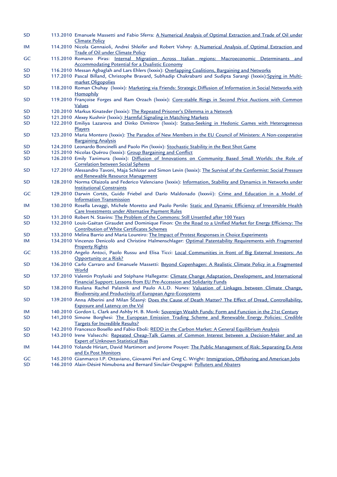| SD        | 113.2010 Emanuele Massetti and Fabio Sferra: A Numerical Analysis of Optimal Extraction and Trade of Oil under<br><b>Climate Policy</b>                                                 |
|-----------|-----------------------------------------------------------------------------------------------------------------------------------------------------------------------------------------|
| IM        | 114.2010 Nicola Gennaioli, Andrei Shleifer and Robert Vishny: A Numerical Analysis of Optimal Extraction and<br>Trade of Oil under Climate Policy                                       |
| GC        | 115.2010 Romano Piras: Internal Migration Across Italian regions: Macroeconomic Determinants and                                                                                        |
|           | <b>Accommodating Potential for a Dualistic Economy</b>                                                                                                                                  |
| SD        | 116.2010 Messan Agbaglah and Lars Ehlers (Ixxxix): Overlapping Coalitions, Bargaining and Networks                                                                                      |
| <b>SD</b> | 117.2010 Pascal Billand, Christophe Bravard, Subhadip Chakrabarti and Sudipta Sarangi (Ixxxix): Spying in Multi-<br>market Oligopolies                                                  |
| <b>SD</b> | 118.2010 Roman Chuhay (Ixxxix): Marketing via Friends: Strategic Diffusion of Information in Social Networks with<br>Homophily                                                          |
| <b>SD</b> | 119.2010 Françoise Forges and Ram Orzach (Ixxix): Core-stable Rings in Second Price Auctions with Common<br>Values                                                                      |
| SD        | 120.2010 Markus Kinateder (Ixxxix): The Repeated Prisoner's Dilemma in a Network                                                                                                        |
|           |                                                                                                                                                                                         |
| <b>SD</b> | 121.2010 Alexey Kushnir (Ixxxix): Harmful Signaling in Matching Markets                                                                                                                 |
| SD        | 122.2010 Emiliya Lazarova and Dinko Dimitrov (Ixxxix): Status-Seeking in Hedonic Games with Heterogeneous<br>Players                                                                    |
| SD        | 123.2010 Maria Montero (Ixxxix): The Paradox of New Members in the EU Council of Ministers: A Non-cooperative<br><b>Bargaining Analysis</b>                                             |
| SD        | 124.2010 Leonardo Boncinelli and Paolo Pin (lxxix): Stochastic Stability in the Best Shot Game                                                                                          |
| <b>SD</b> | 125.2010 Nicolas Quérou (Ixxxix): Group Bargaining and Conflict                                                                                                                         |
|           |                                                                                                                                                                                         |
| <b>SD</b> | 126.2010 Emily Tanimura (Ixxix): Diffusion of Innovations on Community Based Small Worlds: the Role of<br><b>Correlation between Social Spheres</b>                                     |
| SD        | 127.2010 Alessandro Tavoni, Maja Schlüter and Simon Levin (Ixxix): The Survival of the Conformist: Social Pressure                                                                      |
|           |                                                                                                                                                                                         |
|           | and Renewable Resource Management                                                                                                                                                       |
| <b>SD</b> | 128.2010 Norma Olaizola and Federico Valenciano (Ixxxx): Information, Stability and Dynamics in Networks under<br><b>Institutional Constraints</b>                                      |
|           |                                                                                                                                                                                         |
| GC        | 129.2010 Darwin Cortés, Guido Friebel and Darío Maldonado (Ixxxvii): Crime and Education in a Model of<br><b>Information Transmission</b>                                               |
| IM        | 130.2010 Rosella Levaggi, Michele Moretto and Paolo Pertile: Static and Dynamic Efficiency of Irreversible Health                                                                       |
|           | Care Investments under Alternative Payment Rules                                                                                                                                        |
| SD        | 131.2010 Robert N. Stavins: The Problem of the Commons: Still Unsettled after 100 Years                                                                                                 |
| SD        | 132.2010 Louis-Gaëtan Giraudet and Dominique Finon: On the Road to a Unified Market for Energy Efficiency: The                                                                          |
|           | <b>Contribution of White Certificates Schemes</b>                                                                                                                                       |
| SD        | 133.2010 Melina Barrio and Maria Loureiro: The Impact of Protest Responses in Choice Experiments                                                                                        |
|           |                                                                                                                                                                                         |
| IM        | 134.2010 Vincenzo Denicolò and Christine Halmenschlager: Optimal Patentability Requirements with Fragmented                                                                             |
|           | <b>Property Rights</b>                                                                                                                                                                  |
| GC        | 135.2010 Angelo Antoci, Paolo Russu and Elisa Ticci: Local Communities in front of Big External Investors: An                                                                           |
|           | Opportunity or a Risk?                                                                                                                                                                  |
| SD        | 136.2010 Carlo Carraro and Emanuele Massetti: Beyond Copenhagen: A Realistic Climate Policy in a Fragmented                                                                             |
|           | World                                                                                                                                                                                   |
| <b>SD</b> | 137.2010 Valentin Przyluski and Stéphane Hallegatte: Climate Change Adaptation, Development, and International<br>Financial Support: Lessons from EU Pre-Accession and Solidarity Funds |
|           |                                                                                                                                                                                         |
| <b>SD</b> | 138.2010 Ruslana Rachel Palatnik and Paulo A.L.D. Nunes: Valuation of Linkages between Climate Change,<br><b>Biodiversity and Productivity of European Agro-Ecosystems</b>              |
| <b>SD</b> | 139.2010 Anna Alberini and Milan Ščasný: Does the Cause of Death Matter? The Effect of Dread, Controllability,                                                                          |
|           | <b>Exposure and Latency on the Vsl</b>                                                                                                                                                  |
| ΙM        | 140.2010 Gordon L. Clark and Ashby H. B. Monk: Sovereign Wealth Funds: Form and Function in the 21st Century                                                                            |
| <b>SD</b> | 141,2010 Simone Borghesi: The European Emission Trading Scheme and Renewable Energy Policies: Credible                                                                                  |
|           | <b>Targets for Incredible Results?</b>                                                                                                                                                  |
| <b>SD</b> | 142.2010 Francesco Bosello and Fabio Eboli: REDD in the Carbon Market: A General Equilibrium Analysis                                                                                   |
| <b>SD</b> | 143.2010 Irene Valsecchi: Repeated Cheap-Talk Games of Common Interest between a Decision-Maker and an                                                                                  |
|           | <b>Expert of Unknown Statistical Bias</b>                                                                                                                                               |
| IM        | 144.2010 Yolande Hiriart, David Martimort and Jerome Pouyet: The Public Management of Risk: Separating Ex Ante                                                                          |
|           | and Ex Post Monitors                                                                                                                                                                    |
| GC        | 145.2010 Gianmarco I.P. Ottaviano, Giovanni Peri and Greg C. Wright: Immigration, Offshoring and American Jobs                                                                          |
| <b>SD</b> | 146.2010 Alain-Désiré Nimubona and Bernard Sinclair-Desgagné: Polluters and Abaters                                                                                                     |
|           |                                                                                                                                                                                         |